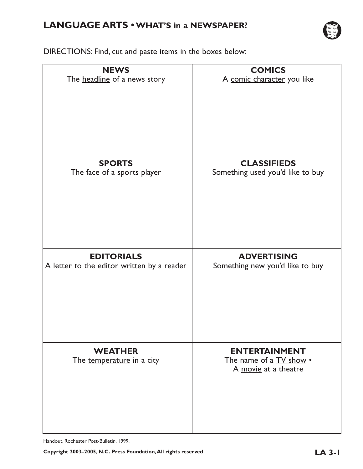## **LANGUAGE ARTS •WHAT'S in a NEWSPAPER?**



DIRECTIONS: Find, cut and paste items in the boxes below:

| <b>NEWS</b>                                 | <b>COMICS</b>                                                                  |
|---------------------------------------------|--------------------------------------------------------------------------------|
| The headline of a news story                | A comic character you like                                                     |
| <b>SPORTS</b>                               | <b>CLASSIFIEDS</b>                                                             |
| The face of a sports player                 | Something used you'd like to buy                                               |
|                                             |                                                                                |
| <b>EDITORIALS</b>                           | <b>ADVERTISING</b>                                                             |
| A letter to the editor written by a reader  | Something new you'd like to buy                                                |
| <b>WEATHER</b><br>The temperature in a city | <b>ENTERTAINMENT</b><br>The name of a <b>TV</b> show •<br>A movie at a theatre |

Handout, Rochester Post-Bulletin, 1999.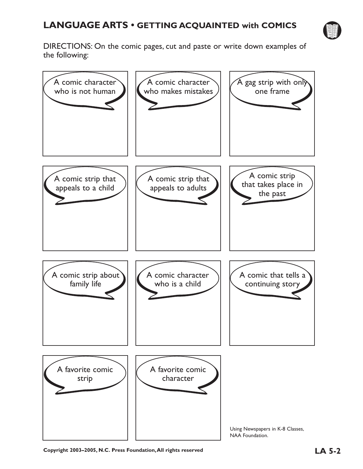

DIRECTIONS: On the comic pages, cut and paste or write down examples of the following:

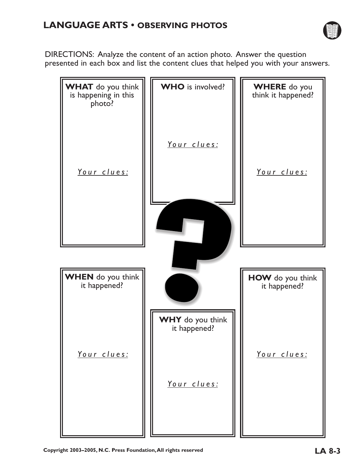

DIRECTIONS: Analyze the content of an action photo. Answer the question presented in each box and list the content clues that helped you with your answers.

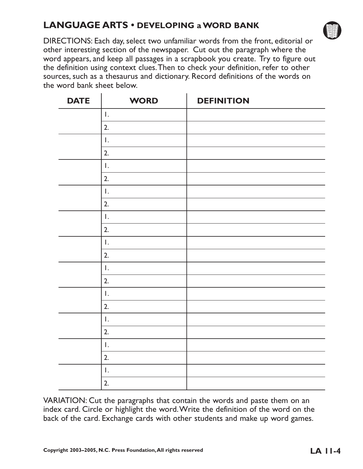## **LANGUAGE ARTS • DEVELOPING a WORD BANK**



DIRECTIONS: Each day, select two unfamiliar words from the front, editorial or other interesting section of the newspaper. Cut out the paragraph where the word appears, and keep all passages in a scrapbook you create. Try to figure out the definition using context clues.Then to check your definition, refer to other sources, such as a thesaurus and dictionary. Record definitions of the words on the word bank sheet below.

| <b>DATE</b> | <b>WORD</b>                                                                                                   | <b>DEFINITION</b> |
|-------------|---------------------------------------------------------------------------------------------------------------|-------------------|
|             | $\mathsf{L}% _{0}\left( \mathcal{L}_{0}\right) ^{\ast }=\mathsf{L}_{0}\left( \mathcal{L}_{0}\right) ^{\ast }$ |                   |
|             | 2.                                                                                                            |                   |
|             | $\mathsf{L}$                                                                                                  |                   |
|             | 2.                                                                                                            |                   |
|             | $\mathbf{I}$ .                                                                                                |                   |
|             | 2.                                                                                                            |                   |
|             | $\mathsf{I}$ .                                                                                                |                   |
|             | 2.                                                                                                            |                   |
|             | $\mathsf{I}$ .                                                                                                |                   |
|             | 2.                                                                                                            |                   |
|             | $\mathsf{I}$ .                                                                                                |                   |
|             | 2.                                                                                                            |                   |
|             | $\mathbf{I}$ .                                                                                                |                   |
|             | 2.                                                                                                            |                   |
|             | $\mathsf I$ .                                                                                                 |                   |
|             | 2.                                                                                                            |                   |
|             | $\mathsf{I}$ .                                                                                                |                   |
|             | 2.                                                                                                            |                   |
|             | $\mathsf{I}$ .                                                                                                |                   |
|             | 2.                                                                                                            |                   |
|             | $\mathsf{L}$                                                                                                  |                   |
|             | 2.                                                                                                            |                   |

VARIATION: Cut the paragraphs that contain the words and paste them on an index card. Circle or highlight the word.Write the definition of the word on the back of the card. Exchange cards with other students and make up word games.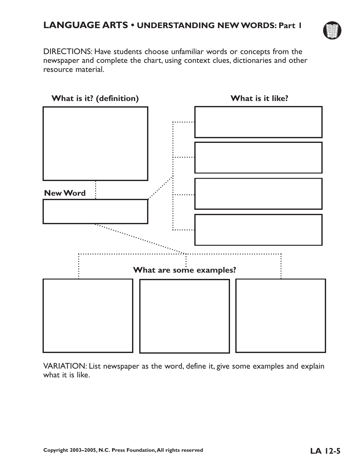

DIRECTIONS: Have students choose unfamiliar words or concepts from the newspaper and complete the chart, using context clues, dictionaries and other resource material.



VARIATION: List newspaper as the word, define it, give some examples and explain what it is like.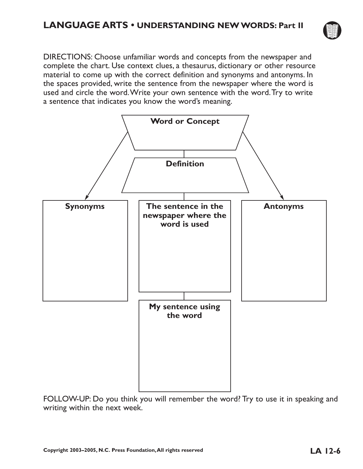

DIRECTIONS: Choose unfamiliar words and concepts from the newspaper and complete the chart. Use context clues, a thesaurus, dictionary or other resource material to come up with the correct definition and synonyms and antonyms. In the spaces provided, write the sentence from the newspaper where the word is used and circle the word.Write your own sentence with the word.Try to write a sentence that indicates you know the word's meaning.



FOLLOW-UP: Do you think you will remember the word? Try to use it in speaking and writing within the next week.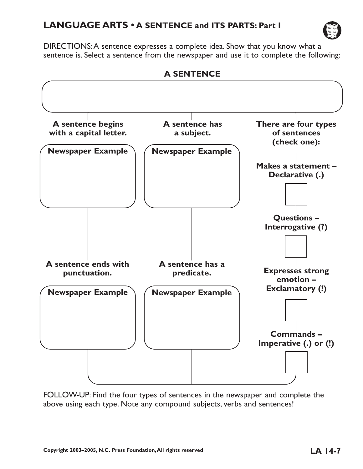

DIRECTIONS:A sentence expresses a complete idea. Show that you know what a sentence is. Select a sentence from the newspaper and use it to complete the following:



FOLLOW-UP: Find the four types of sentences in the newspaper and complete the above using each type. Note any compound subjects, verbs and sentences!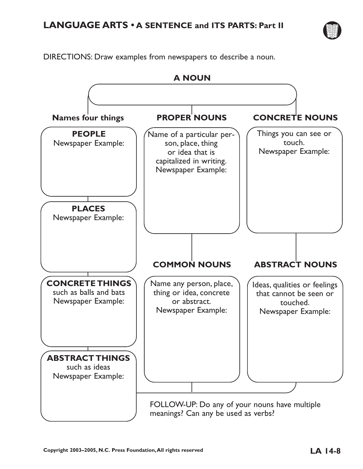

DIRECTIONS: Draw examples from newspapers to describe a noun.

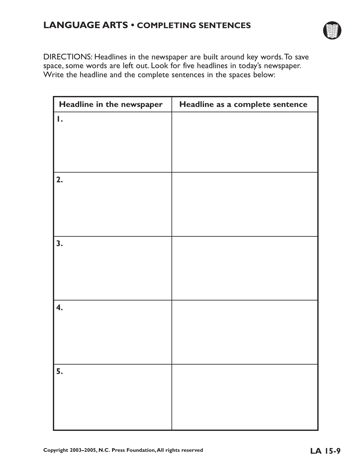## **LANGUAGE ARTS • COMPLETING SENTENCES**



DIRECTIONS: Headlines in the newspaper are built around key words.To save space, some words are left out. Look for five headlines in today's newspaper. Write the headline and the complete sentences in the spaces below:

| Headline in the newspaper | Headline as a complete sentence |
|---------------------------|---------------------------------|
| Ι.                        |                                 |
|                           |                                 |
|                           |                                 |
|                           |                                 |
| 2.                        |                                 |
|                           |                                 |
|                           |                                 |
|                           |                                 |
| 3.                        |                                 |
|                           |                                 |
|                           |                                 |
|                           |                                 |
| 4.                        |                                 |
|                           |                                 |
|                           |                                 |
|                           |                                 |
|                           |                                 |
| 5.                        |                                 |
|                           |                                 |
|                           |                                 |
|                           |                                 |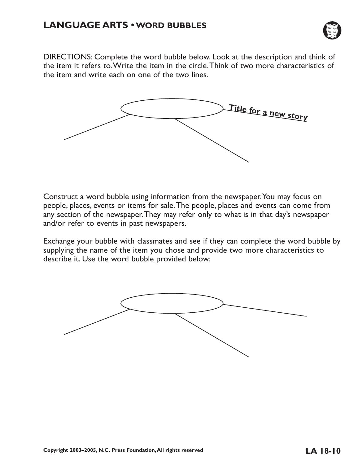

DIRECTIONS: Complete the word bubble below. Look at the description and think of the item it refers to.Write the item in the circle.Think of two more characteristics of the item and write each on one of the two lines.



Construct a word bubble using information from the newspaper.You may focus on people, places, events or items for sale.The people, places and events can come from any section of the newspaper.They may refer only to what is in that day's newspaper and/or refer to events in past newspapers.

Exchange your bubble with classmates and see if they can complete the word bubble by supplying the name of the item you chose and provide two more characteristics to describe it. Use the word bubble provided below:

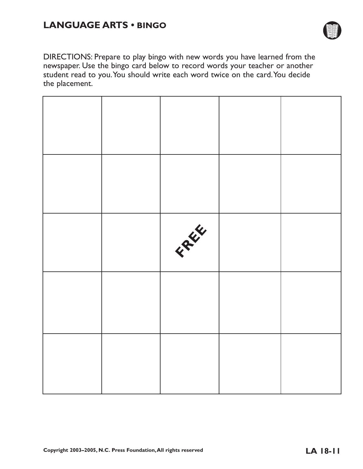## **LANGUAGE ARTS • BINGO**



DIRECTIONS: Prepare to play bingo with new words you have learned from the newspaper. Use the bingo card below to record words your teacher or another student read to you.You should write each word twice on the card.You decide the placement.

|  | FEW |  |
|--|-----|--|
|  |     |  |
|  |     |  |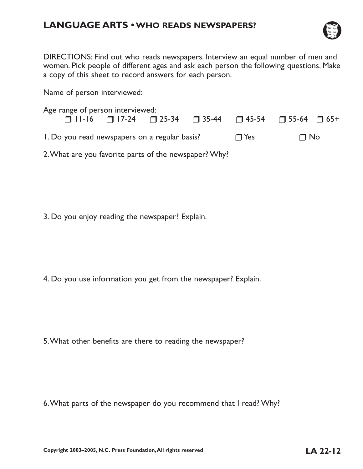## **LANGUAGE ARTS •WHO READS NEWSPAPERS?**



DIRECTIONS: Find out who reads newspapers. Interview an equal number of men and women. Pick people of different ages and ask each person the following questions. Make a copy of this sheet to record answers for each person.

| Name of person interviewed: ____                      |                                                                                          |  |            |           |  |
|-------------------------------------------------------|------------------------------------------------------------------------------------------|--|------------|-----------|--|
| Age range of person interviewed:                      | $\Box$ 11-16 $\Box$ 17-24 $\Box$ 25-34 $\Box$ 35-44 $\Box$ 45-54 $\Box$ 55-64 $\Box$ 65+ |  |            |           |  |
| 1. Do you read newspapers on a regular basis?         |                                                                                          |  | $\Box$ Yes | $\Box$ No |  |
| 2. What are you favorite parts of the newspaper? Why? |                                                                                          |  |            |           |  |

3. Do you enjoy reading the newspaper? Explain.

4. Do you use information you get from the newspaper? Explain.

5.What other benefits are there to reading the newspaper?

6.What parts of the newspaper do you recommend that I read? Why?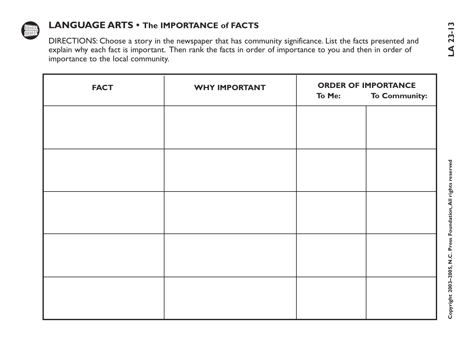

| <b>FACT</b> | <b>WHY IMPORTANT</b> |        | <b>ORDER OF IMPORTANCE</b> |
|-------------|----------------------|--------|----------------------------|
|             |                      | To Me: | <b>To Community:</b>       |
|             |                      |        |                            |
|             |                      |        |                            |
|             |                      |        |                            |
|             |                      |        |                            |
|             |                      |        |                            |
|             |                      |        |                            |
|             |                      |        |                            |
|             |                      |        |                            |
|             |                      |        |                            |
|             |                      |        |                            |
|             |                      |        |                            |
|             |                      |        |                            |
|             |                      |        |                            |
|             |                      |        |                            |
|             |                      |        |                            |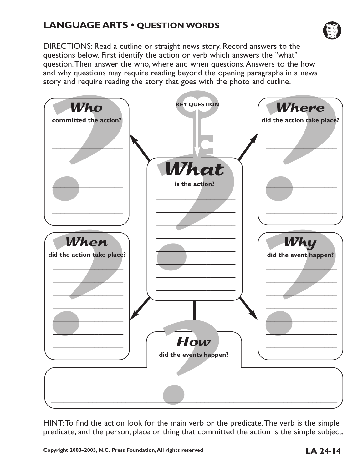## **LANGUAGE ARTS • QUESTION WORDS**



DIRECTIONS: Read a cutline or straight news story. Record answers to the questions below. First identify the action or verb which answers the "what" question.Then answer the who, where and when questions.Answers to the how and why questions may require reading beyond the opening paragraphs in a news story and require reading the story that goes with the photo and cutline.



HINT:To find the action look for the main verb or the predicate.The verb is the simple predicate, and the person, place or thing that committed the action is the simple subject.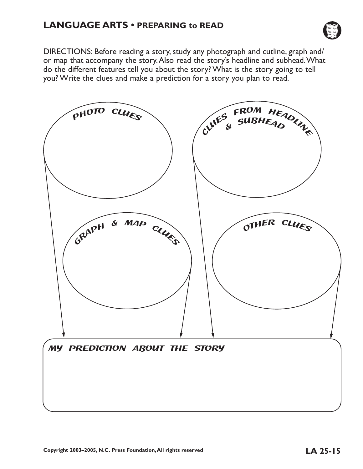## **LANGUAGE ARTS • PREPARING to READ**



DIRECTIONS: Before reading a story, study any photograph and cutline, graph and/ or map that accompany the story.Also read the story's headline and subhead.What do the different features tell you about the story? What is the story going to tell you? Write the clues and make a prediction for a story you plan to read.

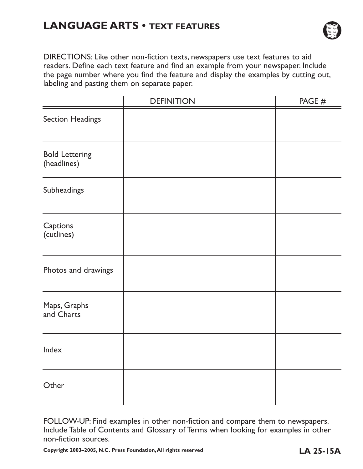# **LANGUAGE ARTS • TEXT FEATURES**



DIRECTIONS: Like other non-fiction texts, newspapers use text features to aid readers. Define each text feature and find an example from your newspaper. Include the page number where you find the feature and display the examples by cutting out, labeling and pasting them on separate paper.

|                                      | <b>DEFINITION</b> | PAGE # |
|--------------------------------------|-------------------|--------|
| Section Headings                     |                   |        |
| <b>Bold Lettering</b><br>(headlines) |                   |        |
| Subheadings                          |                   |        |
| Captions<br>(cutlines)               |                   |        |
| Photos and drawings                  |                   |        |
| Maps, Graphs<br>and Charts           |                   |        |
| Index                                |                   |        |
| Other                                |                   |        |

FOLLOW-UP: Find examples in other non-fiction and compare them to newspapers. Include Table of Contents and Glossary of Terms when looking for examples in other non-fiction sources.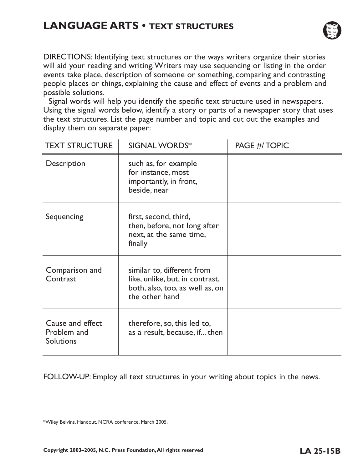# **LANGUAGE ARTS • TEXT STRUCTURES**



DIRECTIONS: Identifying text structures or the ways writers organize their stories will aid your reading and writing.Writers may use sequencing or listing in the order events take place, description of someone or something, comparing and contrasting people places or things, explaining the cause and effect of events and a problem and possible solutions.

Signal words will help you identify the specific text structure used in newspapers. Using the signal words below, identify a story or parts of a newspaper story that uses the text structures. List the page number and topic and cut out the examples and display them on separate paper:

| <b>TEXT STRUCTURE</b>                               | <b>SIGNAL WORDS*</b>                                                                                               | PAGE #/ TOPIC |
|-----------------------------------------------------|--------------------------------------------------------------------------------------------------------------------|---------------|
| Description                                         | such as, for example<br>for instance, most<br>importantly, in front,<br>beside, near                               |               |
| Sequencing                                          | first, second, third,<br>then, before, not long after<br>next, at the same time,<br>finally                        |               |
| Comparison and<br>Contrast                          | similar to, different from<br>like, unlike, but, in contrast,<br>both, also, too, as well as, on<br>the other hand |               |
| Cause and effect<br>Problem and<br><b>Solutions</b> | therefore, so, this led to,<br>as a result, because, if then                                                       |               |

FOLLOW-UP: Employ all text structures in your writing about topics in the news.

\*Wiley Belvins, Handout, NCRA conference, March 2005.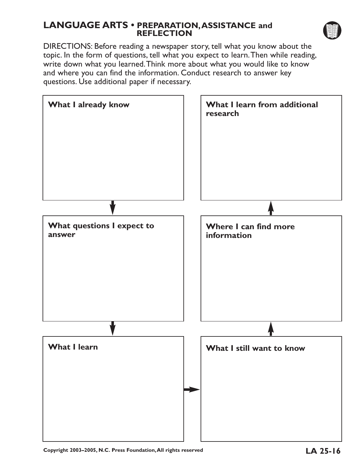## **LANGUAGE ARTS • PREPARATION,ASSISTANCE and REFLECTION**



DIRECTIONS: Before reading a newspaper story, tell what you know about the topic. In the form of questions, tell what you expect to learn.Then while reading, write down what you learned.Think more about what you would like to know and where you can find the information. Conduct research to answer key questions. Use additional paper if necessary.



**Copyright 2003–2005, N.C. Press Foundation,All rights reserved LA 25-16**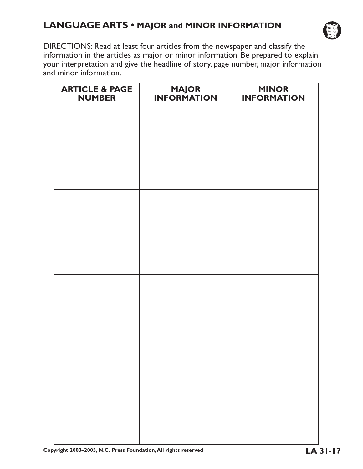## **LANGUAGE ARTS • MAJOR and MINOR INFORMATION**



DIRECTIONS: Read at least four articles from the newspaper and classify the information in the articles as major or minor information. Be prepared to explain your interpretation and give the headline of story, page number, major information and minor information.

| <b>ARTICLE &amp; PAGE</b><br><b>NUMBER</b> | <b>MAJOR</b><br><b>INFORMATION</b> | <b>MINOR</b><br><b>INFORMATION</b> |
|--------------------------------------------|------------------------------------|------------------------------------|
|                                            |                                    |                                    |
|                                            |                                    |                                    |
|                                            |                                    |                                    |
|                                            |                                    |                                    |
|                                            |                                    |                                    |
|                                            |                                    |                                    |
|                                            |                                    |                                    |
|                                            |                                    |                                    |
|                                            |                                    |                                    |
|                                            |                                    |                                    |
|                                            |                                    |                                    |
|                                            |                                    |                                    |
|                                            |                                    |                                    |
|                                            |                                    |                                    |
|                                            |                                    |                                    |
|                                            |                                    |                                    |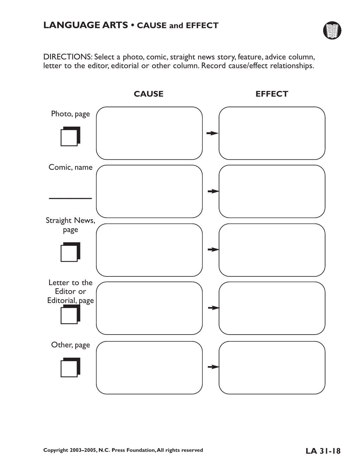

DIRECTIONS: Select a photo, comic, straight news story, feature, advice column, letter to the editor, editorial or other column. Record cause/effect relationships.

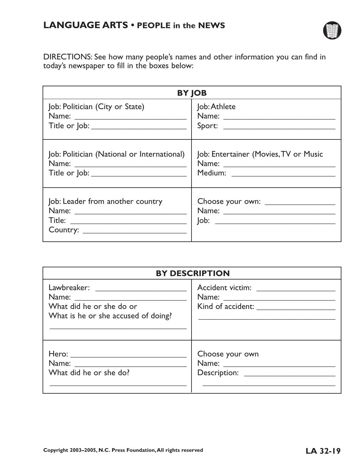

DIRECTIONS: See how many people's names and other information you can find in today's newspaper to fill in the boxes below:

|                                             | <b>BY JOB</b>                         |
|---------------------------------------------|---------------------------------------|
| Job: Politician (City or State)             | Job: Athlete                          |
|                                             |                                       |
| Title or Job: ___________________________   |                                       |
| Job: Politician (National or International) | Job: Entertainer (Movies, TV or Music |
|                                             |                                       |
|                                             | Medium: ___________________________   |
| Job: Leader from another country            |                                       |

|                                                                 | <b>BY DESCRIPTION</b>             |
|-----------------------------------------------------------------|-----------------------------------|
| What did he or she do or<br>What is he or she accused of doing? | Accident victim: ________________ |
| Hero: ________________________<br>What did he or she do?        | Choose your own                   |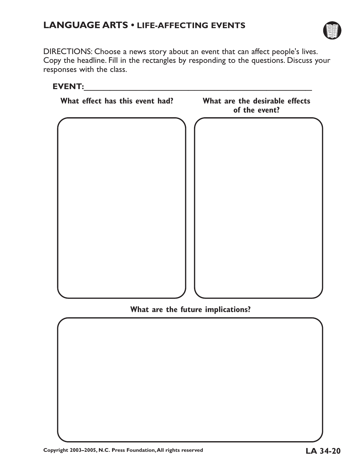

DIRECTIONS: Choose a news story about an event that can affect people's lives. Copy the headline. Fill in the rectangles by responding to the questions. Discuss your responses with the class.



## **What are the future implications?**

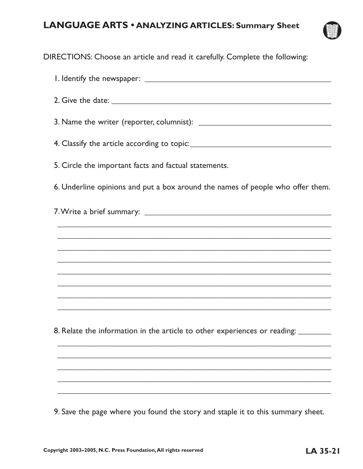## **LANGUAGE ARTS • ANALYZING ARTICLES: Summary Sheet**



DIRECTIONS: Choose an article and read it carefully. Complete the following:

1. Identify the newspaper: \_\_\_\_\_\_\_\_\_\_\_\_\_\_\_\_\_\_\_\_\_\_\_\_\_\_\_\_\_\_\_\_\_\_\_\_\_\_\_\_\_\_\_\_\_ 2. Give the date: \_\_\_\_\_\_\_\_\_\_\_\_\_\_\_\_\_\_\_\_\_\_\_\_\_\_\_\_\_\_\_\_\_\_\_\_\_\_\_\_\_\_\_\_\_\_\_\_\_\_\_\_\_ 3. Name the writer (reporter, columnist): 4. Classify the article according to topic: 5. Circle the important facts and factual statements. 6. Underline opinions and put a box around the names of people who offer them. 7.Write a brief summary: \_\_\_\_\_\_\_\_\_\_\_\_\_\_\_\_\_\_\_\_\_\_\_\_\_\_\_\_\_\_\_\_\_\_\_\_\_\_\_\_\_\_\_\_\_  $\overline{\phantom{a}}$  , and the contract of the contract of the contract of the contract of the contract of the contract of the contract of the contract of the contract of the contract of the contract of the contract of the contrac  $\overline{\phantom{a}}$  , and the contract of the contract of the contract of the contract of the contract of the contract of the contract of the contract of the contract of the contract of the contract of the contract of the contrac  $\overline{\phantom{a}}$  , and the contract of the contract of the contract of the contract of the contract of the contract of the contract of the contract of the contract of the contract of the contract of the contract of the contrac  $\overline{\phantom{a}}$  , and the contract of the contract of the contract of the contract of the contract of the contract of the contract of the contract of the contract of the contract of the contract of the contract of the contrac  $\overline{\phantom{a}}$  , and the contract of the contract of the contract of the contract of the contract of the contract of the contract of the contract of the contract of the contract of the contract of the contract of the contrac  $\overline{\phantom{a}}$  , and the contract of the contract of the contract of the contract of the contract of the contract of the contract of the contract of the contract of the contract of the contract of the contract of the contrac  $\overline{\phantom{a}}$  , and the contract of the contract of the contract of the contract of the contract of the contract of the contract of the contract of the contract of the contract of the contract of the contract of the contrac  $\overline{\phantom{a}}$  , and the contract of the contract of the contract of the contract of the contract of the contract of the contract of the contract of the contract of the contract of the contract of the contract of the contrac 8. Relate the information in the article to other experiences or reading:  $\overline{\phantom{a}}$  , and the contract of the contract of the contract of the contract of the contract of the contract of the contract of the contract of the contract of the contract of the contract of the contract of the contrac  $\overline{\phantom{a}}$  , and the contract of the contract of the contract of the contract of the contract of the contract of the contract of the contract of the contract of the contract of the contract of the contract of the contrac  $\overline{\phantom{a}}$  , and the contract of the contract of the contract of the contract of the contract of the contract of the contract of the contract of the contract of the contract of the contract of the contract of the contrac  $\overline{\phantom{a}}$  , and the contract of the contract of the contract of the contract of the contract of the contract of the contract of the contract of the contract of the contract of the contract of the contract of the contrac  $\overline{\phantom{a}}$  , and the contract of the contract of the contract of the contract of the contract of the contract of the contract of the contract of the contract of the contract of the contract of the contract of the contrac 9. Save the page where you found the story and staple it to this summary sheet.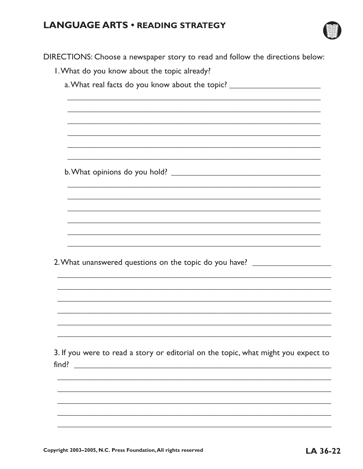## **LANGUAGE ARTS . READING STRATEGY**



|       | DIRECTIONS: Choose a newspaper story to read and follow the directions below:      |
|-------|------------------------------------------------------------------------------------|
|       | I. What do you know about the topic already?                                       |
|       | a. What real facts do you know about the topic? ________________________________   |
|       |                                                                                    |
|       |                                                                                    |
|       |                                                                                    |
|       |                                                                                    |
|       |                                                                                    |
|       |                                                                                    |
|       |                                                                                    |
|       |                                                                                    |
|       |                                                                                    |
|       |                                                                                    |
|       |                                                                                    |
|       |                                                                                    |
|       |                                                                                    |
|       | 2. What unanswered questions on the topic do you have? _________________________   |
|       |                                                                                    |
|       |                                                                                    |
|       |                                                                                    |
|       |                                                                                    |
|       |                                                                                    |
|       |                                                                                    |
|       | 3. If you were to read a story or editorial on the topic, what might you expect to |
| find? |                                                                                    |
|       |                                                                                    |
|       |                                                                                    |
|       |                                                                                    |
|       |                                                                                    |
|       |                                                                                    |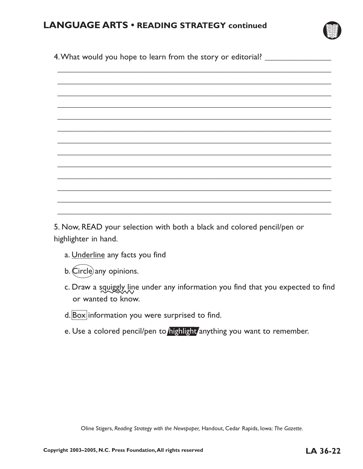

4. What would you hope to learn from the story or editorial? \_\_\_\_\_\_\_\_\_\_\_\_\_\_\_\_\_\_\_  $\overline{\phantom{a}}$  , and the contract of the contract of the contract of the contract of the contract of the contract of the contract of the contract of the contract of the contract of the contract of the contract of the contrac  $\overline{\phantom{a}}$  , and the contract of the contract of the contract of the contract of the contract of the contract of the contract of the contract of the contract of the contract of the contract of the contract of the contrac  $\overline{\phantom{a}}$  , and the contract of the contract of the contract of the contract of the contract of the contract of the contract of the contract of the contract of the contract of the contract of the contract of the contrac  $\overline{\phantom{a}}$  , and the contract of the contract of the contract of the contract of the contract of the contract of the contract of the contract of the contract of the contract of the contract of the contract of the contrac  $\overline{\phantom{a}}$  , and the contract of the contract of the contract of the contract of the contract of the contract of the contract of the contract of the contract of the contract of the contract of the contract of the contrac  $\overline{\phantom{a}}$  , and the contract of the contract of the contract of the contract of the contract of the contract of the contract of the contract of the contract of the contract of the contract of the contract of the contrac  $\overline{\phantom{a}}$  , and the contract of the contract of the contract of the contract of the contract of the contract of the contract of the contract of the contract of the contract of the contract of the contract of the contrac  $\overline{\phantom{a}}$  , and the contract of the contract of the contract of the contract of the contract of the contract of the contract of the contract of the contract of the contract of the contract of the contract of the contrac  $\overline{\phantom{a}}$  , and the contract of the contract of the contract of the contract of the contract of the contract of the contract of the contract of the contract of the contract of the contract of the contract of the contrac  $\overline{\phantom{a}}$  , and the contract of the contract of the contract of the contract of the contract of the contract of the contract of the contract of the contract of the contract of the contract of the contract of the contrac

5. Now, READ your selection with both a black and colored pencil/pen or highlighter in hand.

 $\overline{\phantom{a}}$  , and the contract of the contract of the contract of the contract of the contract of the contract of the contract of the contract of the contract of the contract of the contract of the contract of the contrac

 $\overline{\phantom{a}}$  , and the contract of the contract of the contract of the contract of the contract of the contract of the contract of the contract of the contract of the contract of the contract of the contract of the contrac

 $\overline{\phantom{a}}$  , and the contract of the contract of the contract of the contract of the contract of the contract of the contract of the contract of the contract of the contract of the contract of the contract of the contrac

- a. Underline any facts you find
- b. Circle any opinions.
- c. Draw a squiggly line under any information you find that you expected to find or wanted to know.
- d. Box information you were surprised to find.
- e. Use a colored pencil/pen to highlight anything you want to remember.

Oline Stigers, *Reading Strategy with the Newspaper,* Handout, Cedar Rapids, Iowa: *The Gazette.*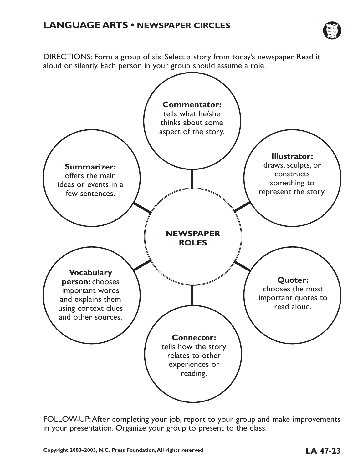

DIRECTIONS: Form a group of six. Select a story from today's newspaper. Read it aloud or silently. Each person in your group should assume a role.



FOLLOW-UP:After completing your job, report to your group and make improvements in your presentation. Organize your group to present to the class.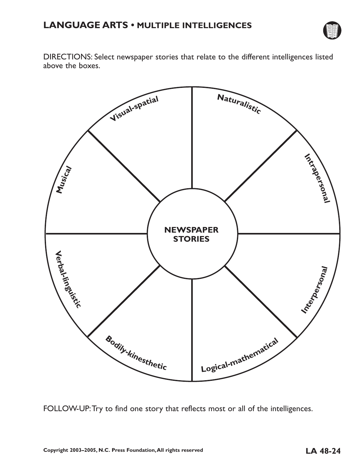

DIRECTIONS: Select newspaper stories that relate to the different intelligences listed above the boxes.



FOLLOW-UP:Try to find one story that reflects most or all of the intelligences.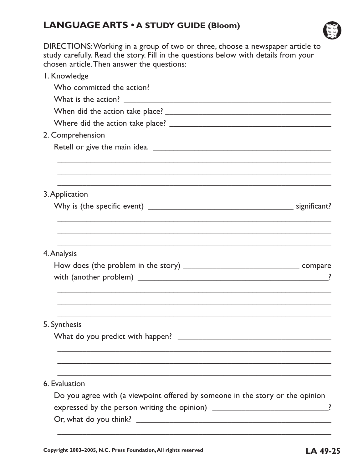## **LANGUAGE ARTS • A STUDY GUIDE (Bloom)**



DIRECTIONS:Working in a group of two or three, choose a newspaper article to study carefully. Read the story. Fill in the questions below with details from your chosen article.Then answer the questions:

| I. Knowledge                                                                     |
|----------------------------------------------------------------------------------|
|                                                                                  |
|                                                                                  |
|                                                                                  |
|                                                                                  |
| 2. Comprehension                                                                 |
|                                                                                  |
| 3. Application                                                                   |
|                                                                                  |
| 4. Analysis                                                                      |
|                                                                                  |
| 5. Synthesis                                                                     |
|                                                                                  |
| 6. Evaluation                                                                    |
| Do you agree with (a viewpoint offered by someone in the story or the opinion    |
| expressed by the person writing the opinion) __________________________________? |
|                                                                                  |
|                                                                                  |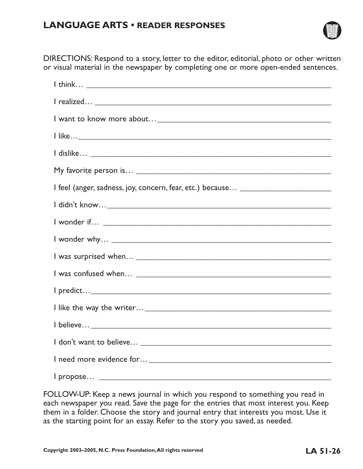## **LANGUAGE ARTS • READER RESPONSES**



DIRECTIONS: Respond to a story, letter to the editor, editorial, photo or other written or visual material in the newspaper by completing one or more open-ended sentences.

FOLLOW-UP: Keep a news journal in which you respond to something you read in each newspaper you read. Save the page for the entries that most interest you. Keep them in a folder. Choose the story and journal entry that interests you most. Use it as the starting point for an essay. Refer to the story you saved, as needed.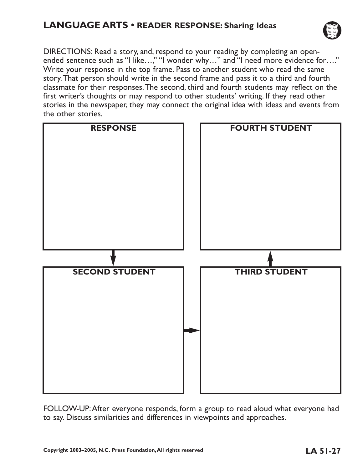## **LANGUAGE ARTS • READER RESPONSE: Sharing Ideas**



DIRECTIONS: Read a story, and, respond to your reading by completing an openended sentence such as "I like...," "I wonder why..." and "I need more evidence for...." Write your response in the top frame. Pass to another student who read the same story.That person should write in the second frame and pass it to a third and fourth classmate for their responses.The second, third and fourth students may reflect on the first writer's thoughts or may respond to other students' writing. If they read other stories in the newspaper, they may connect the original idea with ideas and events from the other stories.



FOLLOW-UP:After everyone responds, form a group to read aloud what everyone had to say. Discuss similarities and differences in viewpoints and approaches.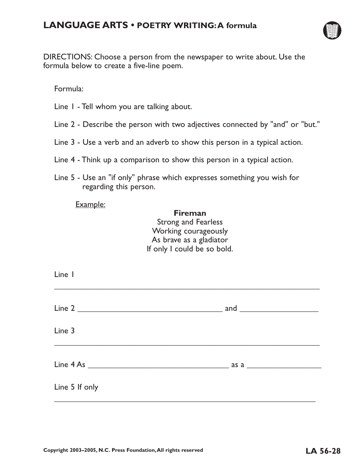

DIRECTIONS: Choose a person from the newspaper to write about. Use the formula below to create a five-line poem.

Formula:

- Line 1 Tell whom you are talking about.
- Line 2 Describe the person with two adjectives connected by "and" or "but."
- Line 3 Use a verb and an adverb to show this person in a typical action.
- Line 4 Think up a comparison to show this person in a typical action.
- Line 5 Use an "if only" phrase which expresses something you wish for regarding this person.

### Example:

## **Fireman** Strong and Fearless

Working courageously As brave as a gladiator If only I could be so bold.

| Line I         |  |
|----------------|--|
|                |  |
| Line 3         |  |
|                |  |
| Line 5 If only |  |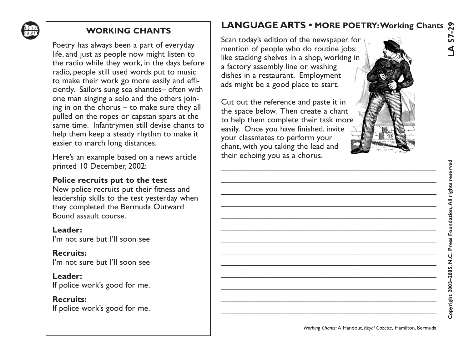

WORKING CHANTS<br>
Poetry has always been a part of everyday<br>
Elie, and just as people now might listen to<br>
life, and just as people now might listen to<br>
the radio which the day before the color frequencies that the color of

# **LANGUAGE ARTS • MORE POETRY:Working Chants**

\_\_\_\_\_\_\_\_\_\_\_\_\_\_\_\_\_\_\_\_\_\_\_\_\_\_\_\_\_\_\_\_\_\_\_\_\_\_\_\_\_\_\_\_\_\_\_\_\_\_\_\_

\_\_\_\_\_\_\_\_\_\_\_\_\_\_\_\_\_\_\_\_\_\_\_\_\_\_\_\_\_\_\_\_\_\_\_\_\_\_\_\_\_\_\_\_\_\_\_\_\_\_\_\_

\_\_\_\_\_\_\_\_\_\_\_\_\_\_\_\_\_\_\_\_\_\_\_\_\_\_\_\_\_\_\_\_\_\_\_\_\_\_\_\_\_\_\_\_\_\_\_\_\_\_\_\_

\_\_\_\_\_\_\_\_\_\_\_\_\_\_\_\_\_\_\_\_\_\_\_\_\_\_\_\_\_\_\_\_\_\_\_\_\_\_\_\_\_\_\_\_\_\_\_\_\_\_\_\_

\_\_\_\_\_\_\_\_\_\_\_\_\_\_\_\_\_\_\_\_\_\_\_\_\_\_\_\_\_\_\_\_\_\_\_\_\_\_\_\_\_\_\_\_\_\_\_\_\_\_\_\_

\_\_\_\_\_\_\_\_\_\_\_\_\_\_\_\_\_\_\_\_\_\_\_\_\_\_\_\_\_\_\_\_\_\_\_\_\_\_\_\_\_\_\_\_\_\_\_\_\_\_\_\_

\_\_\_\_\_\_\_\_\_\_\_\_\_\_\_\_\_\_\_\_\_\_\_\_\_\_\_\_\_\_\_\_\_\_\_\_\_\_\_\_\_\_\_\_\_\_\_\_\_\_\_\_

\_\_\_\_\_\_\_\_\_\_\_\_\_\_\_\_\_\_\_\_\_\_\_\_\_\_\_\_\_\_\_\_\_\_\_\_\_\_\_\_\_\_\_\_\_\_\_\_\_\_\_\_

\_\_\_\_\_\_\_\_\_\_\_\_\_\_\_\_\_\_\_\_\_\_\_\_\_\_\_\_\_\_\_\_\_\_\_\_\_\_\_\_\_\_\_\_\_\_\_\_\_\_\_\_

\_\_\_\_\_\_\_\_\_\_\_\_\_\_\_\_\_\_\_\_\_\_\_\_\_\_\_\_\_\_\_\_\_\_\_\_\_\_\_\_\_\_\_\_\_\_\_\_\_\_\_\_

\_\_\_\_\_\_\_\_\_\_\_\_\_\_\_\_\_\_\_\_\_\_\_\_\_\_\_\_\_\_\_\_\_\_\_\_\_\_\_\_\_\_\_\_\_\_\_\_\_\_\_\_

\_\_\_\_\_\_\_\_\_\_\_\_\_\_\_\_\_\_\_\_\_\_\_\_\_\_\_\_\_\_\_\_\_\_\_\_\_\_\_\_\_\_\_\_\_\_\_\_\_\_\_\_

\_\_\_\_\_\_\_\_\_\_\_\_\_\_\_\_\_\_\_\_\_\_\_\_\_\_\_\_\_\_\_\_\_\_\_\_\_\_\_\_\_\_\_\_\_\_\_\_\_\_\_\_



*Working Chants:* A Handout, *Royal Gazette,* Hamilton, Bermuda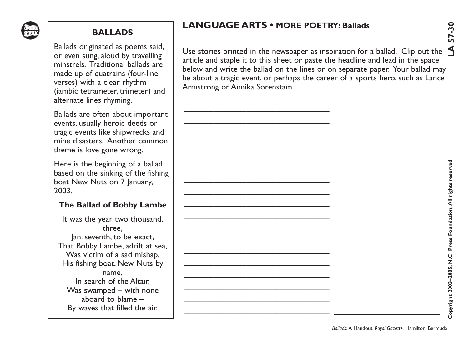

# **LANGUAGE ARTS • MORE POETRY: Ballads**

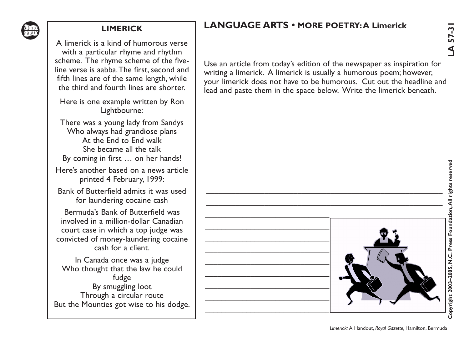

## **LANGUAGE ARTS • MORE POETRY:A Limerick**



*Limerick:* A Handout, *Royal Gazette,* Hamilton, Bermuda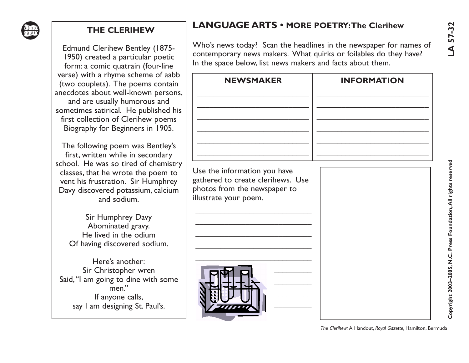

## **LANGUAGE ARTS • MORE POETRY:The Clerihew**

| <b>THE CLERIHEW</b>                                                                                                                                                                                                                                                                                   | <b>LANGUAGE ARTS • MORE POETRY: The Clerihew</b>                                                                                                                                                     |                    | 57-32                                                           |
|-------------------------------------------------------------------------------------------------------------------------------------------------------------------------------------------------------------------------------------------------------------------------------------------------------|------------------------------------------------------------------------------------------------------------------------------------------------------------------------------------------------------|--------------------|-----------------------------------------------------------------|
| <b>Edmund Clerihew Bentley (1875-</b><br>1950) created a particular poetic<br>form: a comic quatrain (four-line                                                                                                                                                                                       | Who's news today? Scan the headlines in the newspaper for names of<br>contemporary news makers. What quirks or foilables do they have?<br>In the space below, list news makers and facts about them. |                    | S                                                               |
| verse) with a rhyme scheme of aabb<br>(two couplets). The poems contain<br>anecdotes about well-known persons,<br>and are usually humorous and<br>sometimes satirical. He published his<br>first collection of Clerihew poems<br>Biography for Beginners in 1905.<br>The following poem was Bentley's | <b>NEWSMAKER</b>                                                                                                                                                                                     | <b>INFORMATION</b> |                                                                 |
| first, written while in secondary<br>school. He was so tired of chemistry<br>classes, that he wrote the poem to<br>vent his frustration. Sir Humphrey<br>Davy discovered potassium, calcium<br>and sodium.                                                                                            | Use the information you have<br>gathered to create clerihews. Use<br>photos from the newspaper to<br>illustrate your poem.                                                                           |                    |                                                                 |
| Sir Humphrey Davy<br>Abominated gravy.<br>He lived in the odium<br>Of having discovered sodium.                                                                                                                                                                                                       |                                                                                                                                                                                                      |                    |                                                                 |
| Here's another:<br>Sir Christopher wren<br>Said, "I am going to dine with some<br>men."<br>If anyone calls,<br>say I am designing St. Paul's.                                                                                                                                                         |                                                                                                                                                                                                      |                    | Copyright 2003-2005, N.C. Press Foundation, All rights reserved |

*The Clerihew:* A Handout, *Royal Gazette,* Hamilton, Bermuda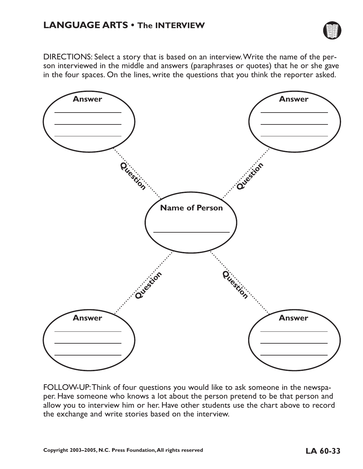

DIRECTIONS: Select a story that is based on an interview.Write the name of the person interviewed in the middle and answers (paraphrases or quotes) that he or she gave in the four spaces. On the lines, write the questions that you think the reporter asked.



FOLLOW-UP:Think of four questions you would like to ask someone in the newspaper. Have someone who knows a lot about the person pretend to be that person and allow you to interview him or her. Have other students use the chart above to record the exchange and write stories based on the interview.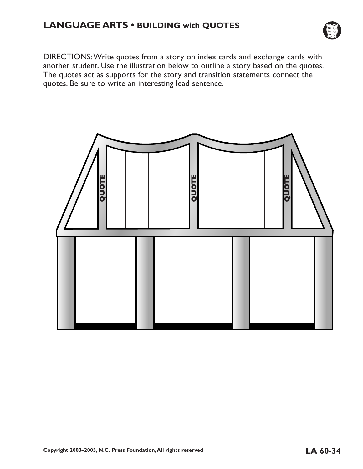## **LANGUAGE ARTS • BUILDING with QUOTES**



DIRECTIONS:Write quotes from a story on index cards and exchange cards with another student. Use the illustration below to outline a story based on the quotes. The quotes act as supports for the story and transition statements connect the quotes. Be sure to write an interesting lead sentence.

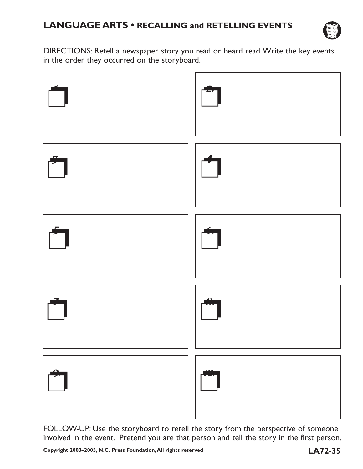

DIRECTIONS: Retell a newspaper story you read or heard read.Write the key events in the order they occurred on the storyboard.



FOLLOW-UP: Use the storyboard to retell the story from the perspective of someone involved in the event. Pretend you are that person and tell the story in the first person.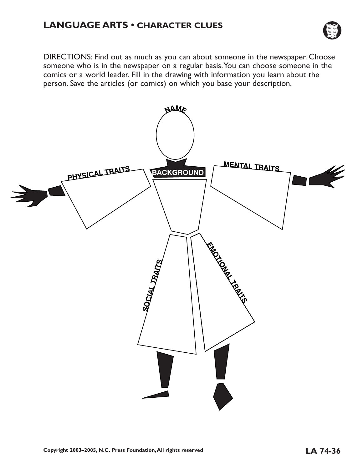

DIRECTIONS: Find out as much as you can about someone in the newspaper. Choose someone who is in the newspaper on a regular basis.You can choose someone in the comics or a world leader. Fill in the drawing with information you learn about the person. Save the articles (or comics) on which you base your description.

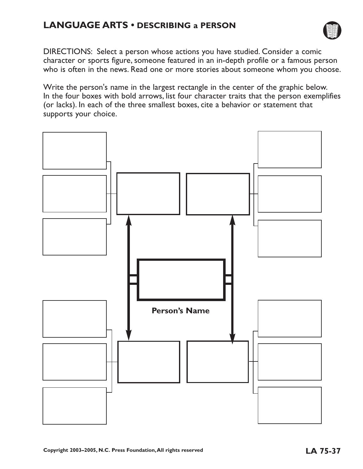## **LANGUAGE ARTS • DESCRIBING a PERSON**



DIRECTIONS: Select a person whose actions you have studied. Consider a comic character or sports figure, someone featured in an in-depth profile or a famous person who is often in the news. Read one or more stories about someone whom you choose.

Write the person's name in the largest rectangle in the center of the graphic below. In the four boxes with bold arrows, list four character traits that the person exemplifies (or lacks). In each of the three smallest boxes, cite a behavior or statement that supports your choice.

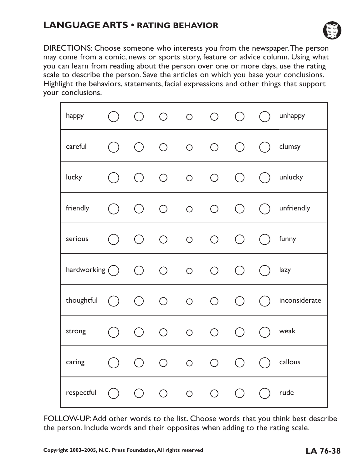## **LANGUAGE ARTS • RATING BEHAVIOR**



DIRECTIONS: Choose someone who interests you from the newspaper.The person may come from a comic, news or sports story, feature or advice column. Using what you can learn from reading about the person over one or more days, use the rating scale to describe the person. Save the articles on which you base your conclusions. Highlight the behaviors, statements, facial expressions and other things that support your conclusions.

| happy             |       | $\bigcirc$ | $\bigcap$  | $\circ$    | $\bigcap$  | ( )                                             |           | unhappy          |
|-------------------|-------|------------|------------|------------|------------|-------------------------------------------------|-----------|------------------|
| careful           | ( )   | $\bigcirc$ | $\bigcirc$ | $\circ$    | $\bigcirc$ | $\bigcirc$                                      |           | $\bigcap$ clumsy |
| lucky             | ( )   | $\bigcap$  | $\bigcirc$ | $\circ$    | $\bigcirc$ | $\bigcap$                                       |           | $( )$ unlucky    |
| friendly          | ( )   |            |            |            |            | $\begin{matrix} 0 & 0 & 0 & 0 & 0 \end{matrix}$ |           | $( )$ unfriendly |
| serious           | $($ ) | $\bigcirc$ | $\bigcirc$ | $\bigcirc$ | $\bigcirc$ | $\bigcirc$                                      | $($ )     | funny            |
| hardworking $($ ) |       | $\bigcap$  |            | $O$ 0      | $\bigcirc$ | $\bigcirc$                                      | $($ )     | lazy             |
| thoughtful        | ( )   | $\bigcap$  | $\bigcap$  | $\bigcirc$ | $\bigcirc$ | $\bigcap$                                       | $\bigcup$ | inconsiderate    |
| strong            | ( )   | $\bigcap$  |            | $O$ 0      | $\bigcirc$ | $\bigcirc$                                      |           | $\bigcap$ weak   |
| caring            | ( )   |            | $O$ $O$    | $\circ$    | $\bigcirc$ | $\bigcirc$                                      |           | $( )$ callous    |
| respectful        | $($ ) | ( )        | $\bigcirc$ | $\bigcirc$ | $\bigcirc$ | $\left(\begin{array}{c}\right)$                 |           | rude             |

FOLLOW-UP:Add other words to the list. Choose words that you think best describe the person. Include words and their opposites when adding to the rating scale.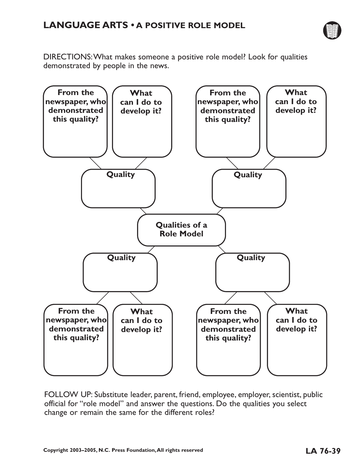

DIRECTIONS:What makes someone a positive role model? Look for qualities demonstrated by people in the news.



FOLLOW UP: Substitute leader, parent, friend, employee, employer, scientist, public official for "role model" and answer the questions. Do the qualities you select change or remain the same for the different roles?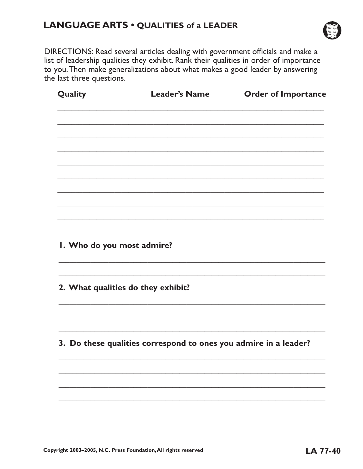## LANGUAGE ARTS . QUALITIES of a LEADER



DIRECTIONS: Read several articles dealing with government officials and make a list of leadership qualities they exhibit. Rank their qualities in order of importance to you. Then make generalizations about what makes a good leader by answering the last three questions.

| Quality | <b>Leader's Name</b> | <b>Order of Importance</b> |  |  |
|---------|----------------------|----------------------------|--|--|
|         |                      |                            |  |  |
|         |                      |                            |  |  |
|         |                      |                            |  |  |
|         |                      |                            |  |  |
|         |                      |                            |  |  |
|         |                      |                            |  |  |
|         |                      |                            |  |  |

I. Who do you most admire?

2. What qualities do they exhibit?

3. Do these qualities correspond to ones you admire in a leader?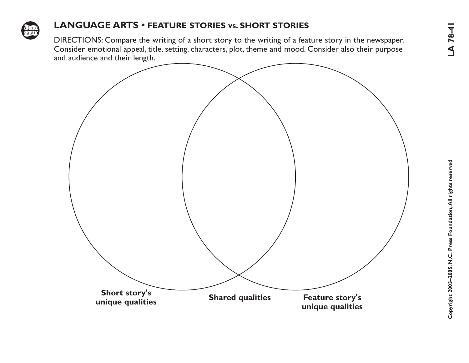

## **LANGUAGE ARTS • FEATURE STORIES vs. SHORT STORIES**

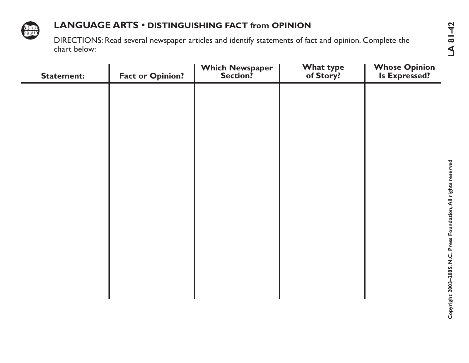

## **LANGUAGE ARTS • DISTINGUISHING FACT from OPINION**

| <b>Statement:</b> | <b>Fact or Opinion?</b> | <b>Which Newspaper</b><br>Section? | <b>What type</b><br>of Story? | <b>Whose Opinion</b><br><b>Is Expressed?</b> |
|-------------------|-------------------------|------------------------------------|-------------------------------|----------------------------------------------|
|                   |                         |                                    |                               |                                              |
|                   |                         |                                    |                               |                                              |
|                   |                         |                                    |                               |                                              |
|                   |                         |                                    |                               |                                              |
|                   |                         |                                    |                               |                                              |
|                   |                         |                                    |                               |                                              |
|                   |                         |                                    |                               |                                              |
|                   |                         |                                    |                               |                                              |
|                   |                         |                                    |                               |                                              |
|                   |                         |                                    |                               |                                              |
|                   |                         |                                    |                               |                                              |
|                   |                         |                                    |                               |                                              |
|                   |                         |                                    |                               |                                              |
|                   |                         |                                    |                               |                                              |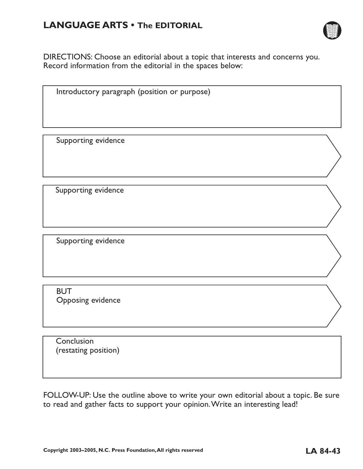## **LANGUAGE ARTS • The EDITORIAL**



DIRECTIONS: Choose an editorial about a topic that interests and concerns you. Record information from the editorial in the spaces below:

Introductory paragraph (position or purpose)

Supporting evidence

Supporting evidence

Supporting evidence

**BUT** Opposing evidence

**Conclusion** (restating position)

FOLLOW-UP: Use the outline above to write your own editorial about a topic. Be sure to read and gather facts to support your opinion.Write an interesting lead!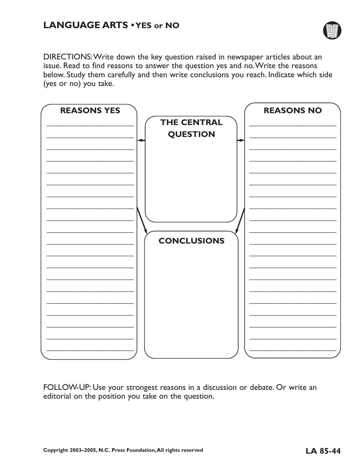

DIRECTIONS:Write down the key question raised in newspaper articles about an issue. Read to find reasons to answer the question yes and no.Write the reasons below. Study them carefully and then write conclusions you reach. Indicate which side (yes or no) you take.



FOLLOW-UP: Use your strongest reasons in a discussion or debate. Or write an editorial on the position you take on the question.